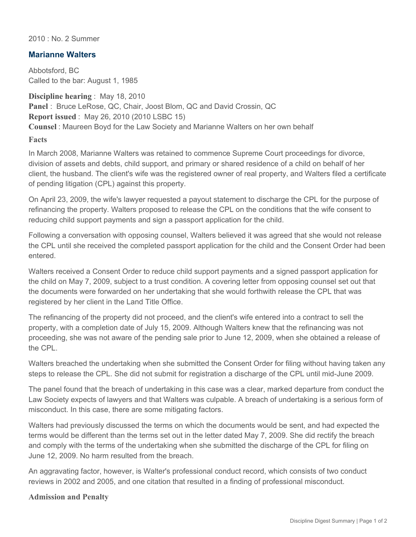2010 : No. 2 Summer

## **Marianne Walters**

Abbotsford, BC Called to the bar: August 1, 1985

**Discipline hearing** : May 18, 2010 **Panel** : Bruce LeRose, QC, Chair, Joost Blom, QC and David Crossin, QC **Report issued** : May 26, 2010 (2010 LSBC 15) **Counsel** : Maureen Boyd for the Law Society and Marianne Walters on her own behalf

**Facts**

In March 2008, Marianne Walters was retained to commence Supreme Court proceedings for divorce, division of assets and debts, child support, and primary or shared residence of a child on behalf of her client, the husband. The client's wife was the registered owner of real property, and Walters filed a certificate of pending litigation (CPL) against this property.

On April 23, 2009, the wife's lawyer requested a payout statement to discharge the CPL for the purpose of refinancing the property. Walters proposed to release the CPL on the conditions that the wife consent to reducing child support payments and sign a passport application for the child.

Following a conversation with opposing counsel, Walters believed it was agreed that she would not release the CPL until she received the completed passport application for the child and the Consent Order had been entered.

Walters received a Consent Order to reduce child support payments and a signed passport application for the child on May 7, 2009, subject to a trust condition. A covering letter from opposing counsel set out that the documents were forwarded on her undertaking that she would forthwith release the CPL that was registered by her client in the Land Title Office.

The refinancing of the property did not proceed, and the client's wife entered into a contract to sell the property, with a completion date of July 15, 2009. Although Walters knew that the refinancing was not proceeding, she was not aware of the pending sale prior to June 12, 2009, when she obtained a release of the CPL.

Walters breached the undertaking when she submitted the Consent Order for filing without having taken any steps to release the CPL. She did not submit for registration a discharge of the CPL until mid-June 2009.

The panel found that the breach of undertaking in this case was a clear, marked departure from conduct the Law Society expects of lawyers and that Walters was culpable. A breach of undertaking is a serious form of misconduct. In this case, there are some mitigating factors.

Walters had previously discussed the terms on which the documents would be sent, and had expected the terms would be different than the terms set out in the letter dated May 7, 2009. She did rectify the breach and comply with the terms of the undertaking when she submitted the discharge of the CPL for filing on June 12, 2009. No harm resulted from the breach.

An aggravating factor, however, is Walter's professional conduct record, which consists of two conduct reviews in 2002 and 2005, and one citation that resulted in a finding of professional misconduct.

## **Admission and Penalty**